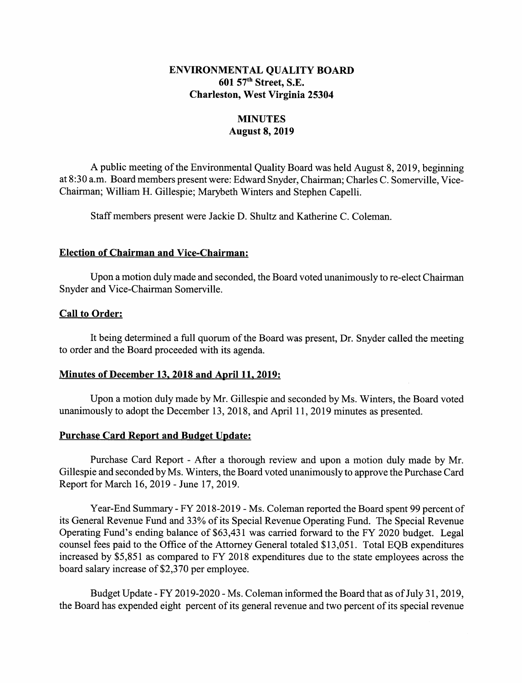## ENVIRONMENTAL QUALITY BOARD 601 57th Street, S.E. Charleston, West Virginia 25304

# **MINUTES** August 8, 2019

A public meeting of the Environmental Quality Board was held August 8, 2019, beginning at 8:30 a.m. Board members present were: Edward Snyder, Chairman; Charles C. Somerville, Vice-Chairman; William H. Gillespie; Marybeth Winters and Stephen Capelli.

Staff members present were Jackie D. Shultz and Katherine C. Coleman.

## Election of Chairman and Vice-Chairman:

Upon a motion duly made and seconded, the Board voted unanimously to re-elect Chairman Snyder and Vice-Chairman Somerville.

## Call to Order:

It being determined a full quorum of the Board was present, Dr. Snyder called the meeting to order and the Board proceeded with its agenda.

#### Minutes of December 13, 2018 and April 11, 2019:

Upon a motion duly made by Mr. Gillespie and seconded by Ms. Winters, the Board voted unanimously to adopt the December 13, 2018, and April 11, 2019 minutes as presented.

#### Purchase Card Report and Budget Update:

Purchase Card Report - After a thorough review and upon a motion duly made by Mr. Gillespie and seconded by Ms. Winters, the Board voted unanimously to approve the Purchase Card Report for March 16, 2019 - June 17, 2019.

Year-End Summary - FY 2018-2019 - Ms. Coleman reported the Board spent 99 percent of its General Revenue Fund and 33% of its Special Revenue Operating Fund. The Special Revenue Operating Fund's ending balance of \$63,431 was carried forward to the FY 2020 budget. Legal counsel fees paid to the Office of the Attorney General totaled \$13,051. Total EQB expenditures increased by \$5,851 as compared to FY 2018 expenditures due to the state employees across the board salary increase of \$2,370 per employee.

Budget Update - FY 2019-2020 - Ms. Coleman informed the Board that as of July 31, 2019, the Board has expended eight percent of its general revenue and two percent of its special revenue